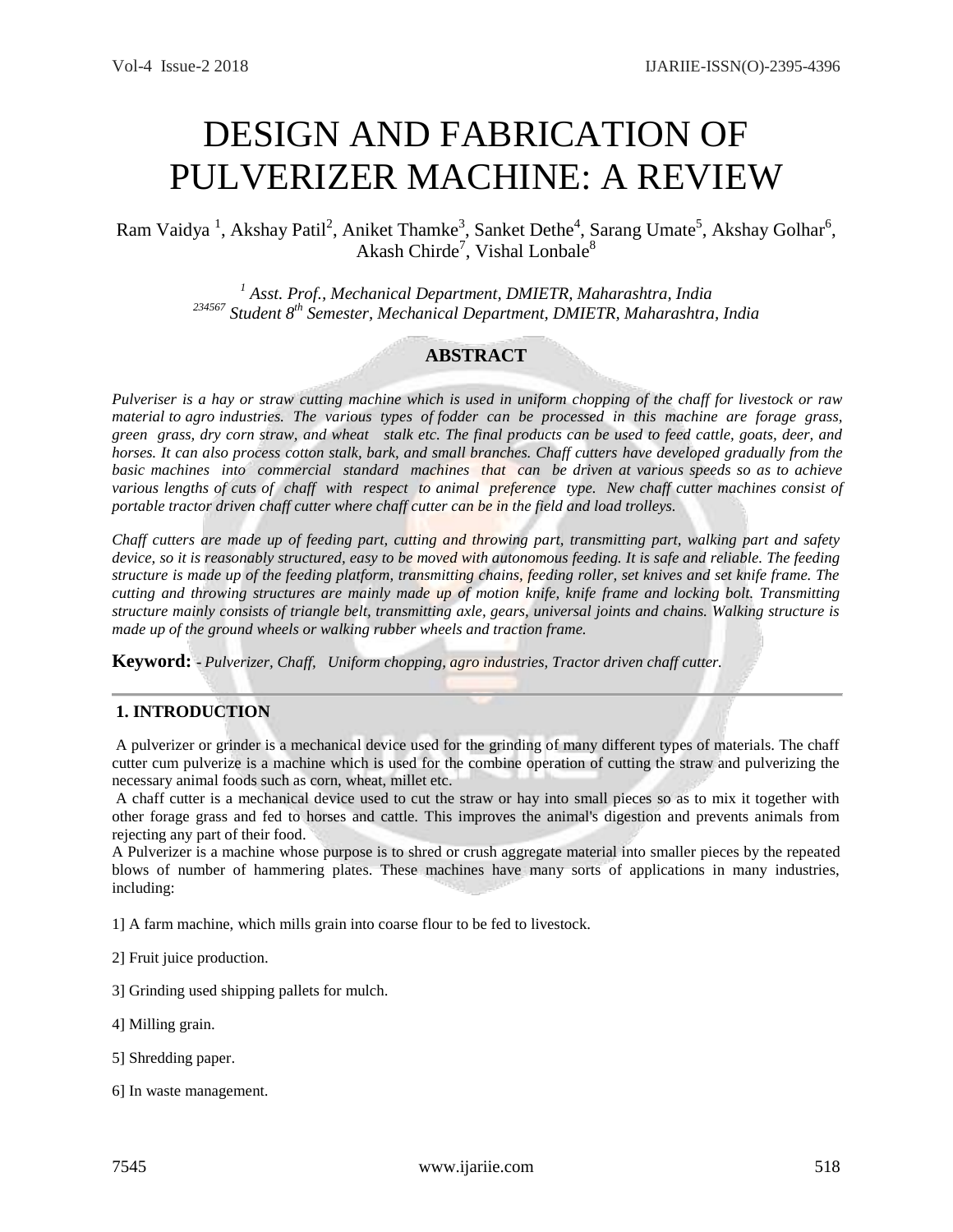# DESIGN AND FABRICATION OF PULVERIZER MACHINE: A REVIEW

Ram Vaidya<sup>1</sup>, Akshay Patil<sup>2</sup>, Aniket Thamke<sup>3</sup>, Sanket Dethe<sup>4</sup>, Sarang Umate<sup>5</sup>, Akshay Golhar<sup>6</sup>, Akash Chirde<sup>7</sup>, Vishal Lonbale<sup>8</sup>

> *<sup>1</sup> Asst. Prof., Mechanical Department, DMIETR, Maharashtra, India <sup>234567</sup> Student 8th Semester, Mechanical Department, DMIETR, Maharashtra, India*

# **ABSTRACT**

*Pulveriser is a hay or straw cutting machine which is used in uniform chopping of the chaff for livestock or raw material to agro industries. The various types of fodder can be processed in this machine are forage grass, green grass, dry corn straw, and wheat stalk etc. The final products can be used to feed cattle, goats, deer, and horses. It can also process cotton stalk, bark, and small branches. Chaff cutters have developed gradually from the basic machines into commercial standard machines that can be driven at various speeds so as to achieve various lengths of cuts of chaff with respect to animal preference type. New chaff cutter machines consist of portable tractor driven chaff cutter where chaff cutter can be in the field and load trolleys.*

*Chaff cutters are made up of feeding part, cutting and throwing part, transmitting part, walking part and safety device, so it is reasonably structured, easy to be moved with autonomous feeding. It is safe and reliable. The feeding structure is made up of the feeding platform, transmitting chains, feeding roller, set knives and set knife frame. The cutting and throwing structures are mainly made up of motion knife, knife frame and locking bolt. Transmitting structure mainly consists of triangle belt, transmitting axle, gears, universal joints and chains. Walking structure is made up of the ground wheels or walking rubber wheels and traction frame.*

**Keyword: -** *Pulverizer, Chaff, Uniform chopping, agro industries, Tractor driven chaff cutter.*

# **1. INTRODUCTION**

A pulverizer or grinder is a mechanical device used for the grinding of many different types of materials. The chaff cutter cum pulverize is a machine which is used for the combine operation of cutting the straw and pulverizing the necessary animal foods such as corn, wheat, millet etc.

A chaff cutter is a mechanical device used to cut the straw or hay into small pieces so as to mix it together with other forage grass and fed to horses and cattle. This improves the animal's digestion and prevents animals from rejecting any part of their food.

A Pulverizer is a machine whose purpose is to shred or crush aggregate material into smaller pieces by the repeated blows of number of hammering plates. These machines have many sorts of applications in many industries, including:

1] [A farm](https://en.wikipedia.org/wiki/Farm) machine, which mills [grain](https://en.wikipedia.org/wiki/Cereal) into coarse [flour](https://en.wikipedia.org/wiki/Flour) to be fed to [livestock.](https://en.wikipedia.org/wiki/Livestock)

2] [Fruit juice](https://en.wikipedia.org/wiki/Fruit_juice) production.

3] Grinding used shipping [pallets](https://en.wikipedia.org/wiki/Pallet) for [mulch.](https://en.wikipedia.org/wiki/Mulch)

- 4] Milling grain.
- 5] Shredding paper.
- 6] I[n waste management.](https://en.wikipedia.org/wiki/Waste_management#Consumer_vs_Machine_Waste_Separation)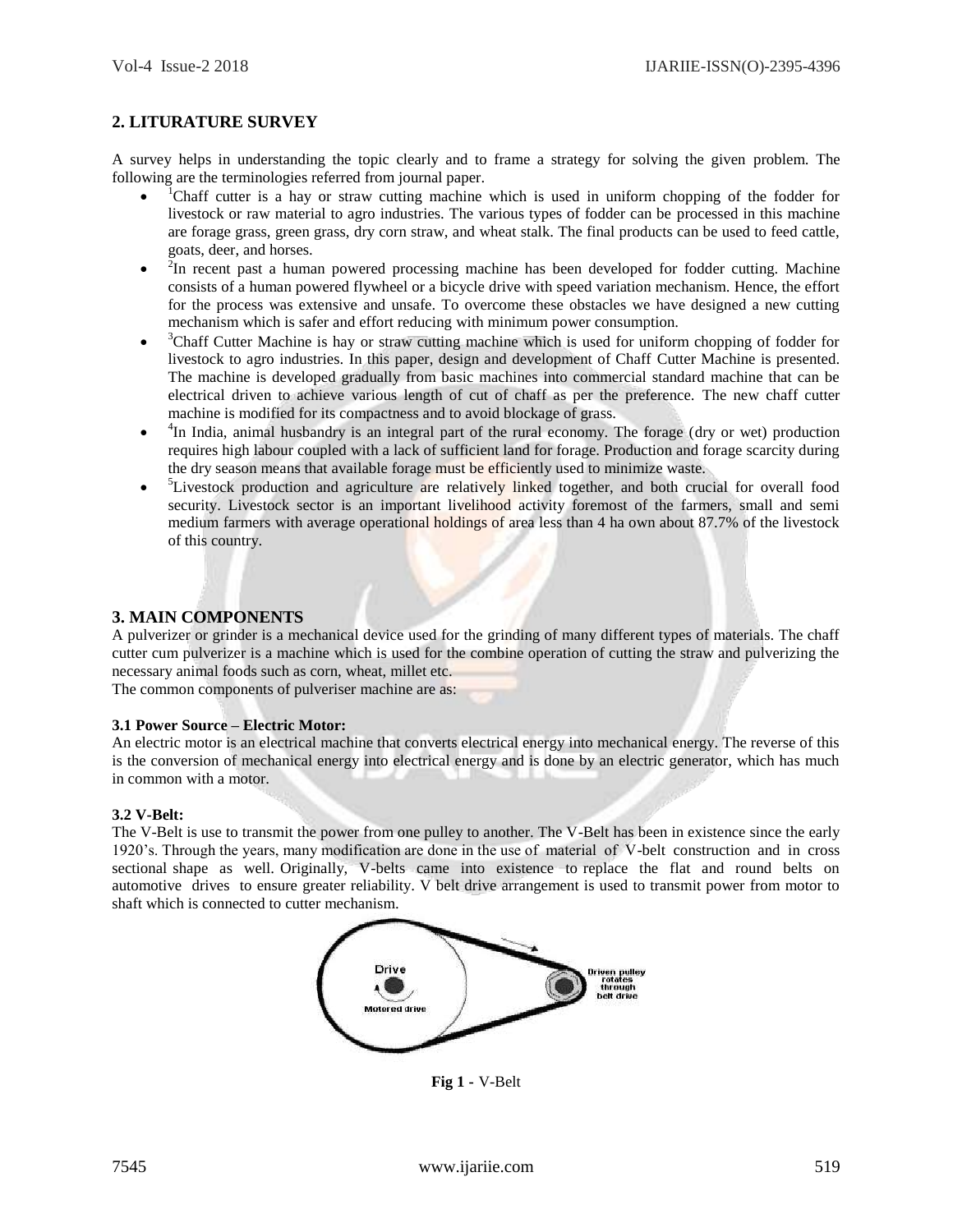# **2. LITURATURE SURVEY**

A survey helps in understanding the topic clearly and to frame a strategy for solving the given problem. The following are the terminologies referred from journal paper.

- $\bullet$ <sup>1</sup>Chaff cutter is a hay or straw cutting machine which is used in uniform chopping of the fodder for livestock or raw material to agro industries. The various types of fodder can be processed in this machine are forage grass, green grass, dry corn straw, and wheat stalk. The final products can be used to feed cattle, goats, deer, and horses.
- $\bullet$  $2$ In recent past a human powered processing machine has been developed for fodder cutting. Machine consists of a human powered flywheel or a bicycle drive with speed variation mechanism. Hence, the effort for the process was extensive and unsafe. To overcome these obstacles we have designed a new cutting mechanism which is safer and effort reducing with minimum power consumption.
- $\bullet$ <sup>3</sup>Chaff Cutter Machine is hay or straw cutting machine which is used for uniform chopping of fodder for livestock to agro industries. In this paper, design and development of Chaff Cutter Machine is presented. The machine is developed gradually from basic machines into commercial standard machine that can be electrical driven to achieve various length of cut of chaff as per the preference. The new chaff cutter machine is modified for its compactness and to avoid blockage of grass.
- $\bullet$ <sup>4</sup>In India, animal husbandry is an integral part of the rural economy. The forage (dry or wet) production requires high labour coupled with a lack of sufficient land for forage. Production and forage scarcity during the dry season means that available forage must be efficiently used to minimize waste.
- $\bullet$ <sup>5</sup>Livestock production and agriculture are relatively linked together, and both crucial for overall food security. Livestock sector is an important livelihood activity foremost of the farmers, small and semi medium farmers with average operational holdings of area less than 4 ha own about 87.7% of the livestock of this country.

## **3. MAIN COMPONENTS**

A pulverizer or grinder is a mechanical device used for the grinding of many different types of materials. The chaff cutter cum pulverizer is a machine which is used for the combine operation of cutting the straw and pulverizing the necessary animal foods such as corn, wheat, millet etc.

The common components of pulveriser machine are as:

#### **3.1 Power Source – Electric Motor:**

An electric motor is an electrical machine that converts electrical energy into mechanical energy. The reverse of this is the conversion of mechanical energy into electrical energy and is done by an electric generator, which has much in common with a motor.

#### **3.2 V-Belt:**

The V-Belt is use to transmit the power from one pulley to another. The V-Belt has been in existence since the early 1920's. Through the years, many modification are done in the use of material of V-belt construction and in cross sectional shape as well. Originally, V-belts came into existence to replace the flat and round belts on automotive drives to ensure greater reliability. V belt drive arrangement is used to transmit power from motor to shaft which is connected to cutter mechanism.



**Fig 1 -** V-Belt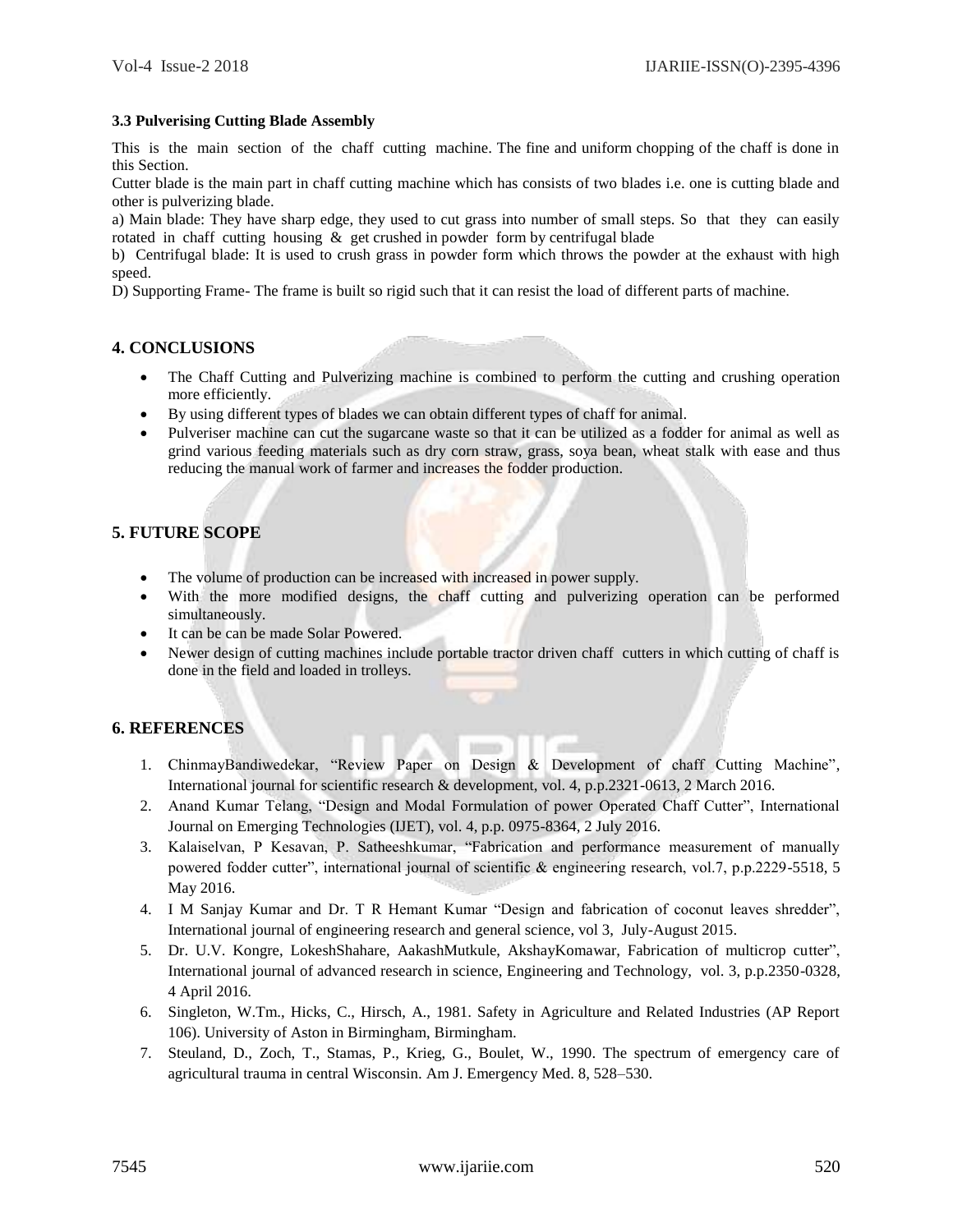### **3.3 Pulverising Cutting Blade Assembly**

This is the main section of the chaff cutting machine. The fine and uniform chopping of the chaff is done in this Section.

Cutter blade is the main part in chaff cutting machine which has consists of two blades i.e. one is cutting blade and other is pulverizing blade.

a) Main blade: They have sharp edge, they used to cut grass into number of small steps. So that they can easily rotated in chaff cutting housing  $\&$  get crushed in powder form by centrifugal blade

b) Centrifugal blade: It is used to crush grass in powder form which throws the powder at the exhaust with high speed.

D) Supporting Frame- The frame is built so rigid such that it can resist the load of different parts of machine.

# **4. CONCLUSIONS**

- The Chaff Cutting and Pulverizing machine is combined to perform the cutting and crushing operation more efficiently.
- By using different types of blades we can obtain different types of chaff for animal.
- Pulveriser machine can cut the sugarcane waste so that it can be utilized as a fodder for animal as well as grind various feeding materials such as dry corn straw, grass, soya bean, wheat stalk with ease and thus reducing the manual work of farmer and increases the fodder production.

# **5. FUTURE SCOPE**

- The volume of production can be increased with increased in power supply.
- With the more modified designs, the chaff cutting and pulverizing operation can be performed simultaneously.
- It can be can be made Solar Powered.
- Newer design of cutting machines include portable tractor driven chaff cutters in which cutting of chaff is done in the field and loaded in trolleys.

# **6. REFERENCES**

- 1. ChinmayBandiwedekar, "Review Paper on Design & Development of chaff Cutting Machine", International journal for scientific research & development, vol. 4, p.p.2321-0613, 2 March 2016.
- 2. Anand Kumar Telang, "Design and Modal Formulation of power Operated Chaff Cutter", International Journal on Emerging Technologies (IJET), vol. 4, p.p. 0975-8364, 2 July 2016.
- 3. Kalaiselvan, P Kesavan, P. Satheeshkumar, "Fabrication and performance measurement of manually powered fodder cutter", international journal of scientific & engineering research, vol.7, p.p.2229-5518, 5 May 2016.
- 4. I M Sanjay Kumar and Dr. T R Hemant Kumar "Design and fabrication of coconut leaves shredder", International journal of engineering research and general science, vol 3, July-August 2015.
- 5. Dr. U.V. Kongre, LokeshShahare, AakashMutkule, AkshayKomawar, Fabrication of multicrop cutter", International journal of advanced research in science, Engineering and Technology, vol. 3, p.p.2350-0328, 4 April 2016.
- 6. Singleton, W.Tm., Hicks, C., Hirsch, A., 1981. Safety in Agriculture and Related Industries (AP Report 106). University of Aston in Birmingham, Birmingham.
- 7. Steuland, D., Zoch, T., Stamas, P., Krieg, G., Boulet, W., 1990. The spectrum of emergency care of agricultural trauma in central Wisconsin. Am J. Emergency Med. 8, 528–530.